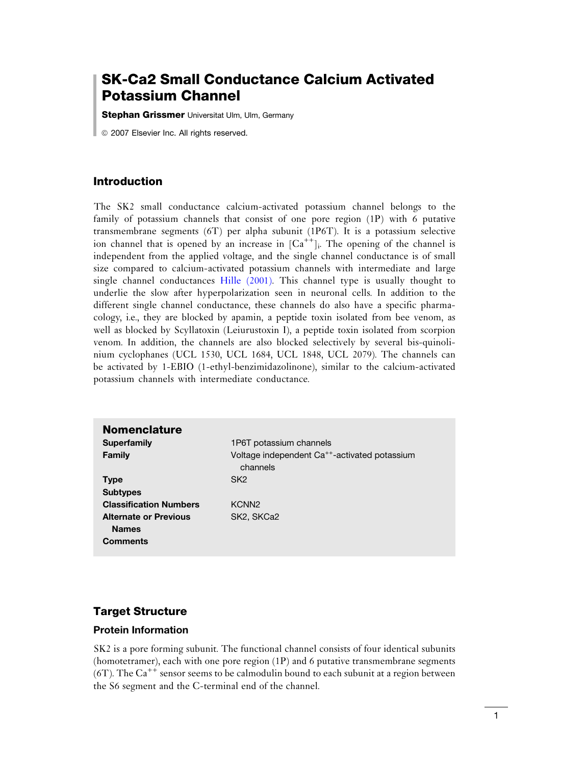# SK-Ca2 Small Conductance Calcium Activated Potassium Channel

**Stephan Grissmer** Universitat Ulm, Ulm, Germany

*ã* 2007 Elsevier Inc. All rights reserved.

#### Introduction

The SK2 small conductance calcium-activated potassium channel belongs to the family of potassium channels that consist of one pore region (1P) with 6 putative transmembrane segments (6T) per alpha subunit (1P6T). It is a potassium selective ion channel that is opened by an increase in  $[Ca^{++}]_i$ . The opening of the channel is independent from the applied voltage, and the single channel conductance is of small size compared to calcium-activated potassium channels with intermediate and large single channel conductances [Hille \(2001\)](#page-6-0). This channel type is usually thought to underlie the slow after hyperpolarization seen in neuronal cells. In addition to the different single channel conductance, these channels do also have a specific pharmacology, i.e., they are blocked by apamin, a peptide toxin isolated from bee venom, as well as blocked by Scyllatoxin (Leiurustoxin I), a peptide toxin isolated from scorpion venom. In addition, the channels are also blocked selectively by several bis-quinolinium cyclophanes (UCL 1530, UCL 1684, UCL 1848, UCL 2079). The channels can be activated by 1-EBIO (1-ethyl-benzimidazolinone), similar to the calcium-activated potassium channels with intermediate conductance.

| <b>Nomenclature</b>                          |                                                                       |
|----------------------------------------------|-----------------------------------------------------------------------|
| <b>Superfamily</b>                           | 1P6T potassium channels                                               |
| Family                                       | Voltage independent Ca <sup>++</sup> -activated potassium<br>channels |
| <b>Type</b>                                  | SK <sub>2</sub>                                                       |
| <b>Subtypes</b>                              |                                                                       |
| <b>Classification Numbers</b>                | KCNN <sub>2</sub>                                                     |
| <b>Alternate or Previous</b><br><b>Names</b> | SK2, SKCa2                                                            |
| <b>Comments</b>                              |                                                                       |

## Target Structure

#### Protein Information

SK2 is a pore forming subunit. The functional channel consists of four identical subunits (homotetramer), each with one pore region (1P) and 6 putative transmembrane segments (6T). The  $Ca^{++}$  sensor seems to be calmodulin bound to each subunit at a region between the S6 segment and the C-terminal end of the channel.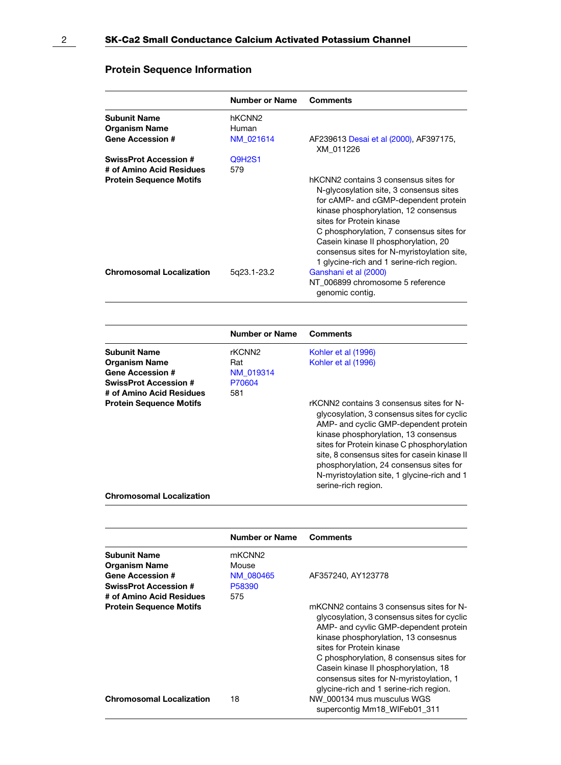# Protein Sequence Information

|                                                                        | <b>Number or Name</b>       | Comments                                                                                                                                                                                                                                                                                                                                                                   |
|------------------------------------------------------------------------|-----------------------------|----------------------------------------------------------------------------------------------------------------------------------------------------------------------------------------------------------------------------------------------------------------------------------------------------------------------------------------------------------------------------|
| <b>Subunit Name</b><br><b>Organism Name</b><br><b>Gene Accession #</b> | hKCNN <sub>2</sub><br>Human |                                                                                                                                                                                                                                                                                                                                                                            |
|                                                                        | NM 021614                   | AF239613 Desai et al (2000), AF397175,<br>XM 011226                                                                                                                                                                                                                                                                                                                        |
| <b>SwissProt Accession #</b>                                           | <b>Q9H2S1</b>               |                                                                                                                                                                                                                                                                                                                                                                            |
| # of Amino Acid Residues<br><b>Protein Sequence Motifs</b>             | 579                         | hKCNN2 contains 3 consensus sites for<br>N-glycosylation site, 3 consensus sites<br>for cAMP- and cGMP-dependent protein<br>kinase phosphorylation, 12 consensus<br>sites for Protein kinase<br>C phosphorylation, 7 consensus sites for<br>Casein kinase II phosphorylation, 20<br>consensus sites for N-myristoylation site,<br>1 glycine-rich and 1 serine-rich region. |
| <b>Chromosomal Localization</b>                                        | 5q23.1-23.2                 | Ganshani et al (2000)<br>NT 006899 chromosome 5 reference<br>genomic contig.                                                                                                                                                                                                                                                                                               |

|                                 | <b>Number or Name</b> | <b>Comments</b>                                                                                                                                                                                                                                                                                                                                                                         |
|---------------------------------|-----------------------|-----------------------------------------------------------------------------------------------------------------------------------------------------------------------------------------------------------------------------------------------------------------------------------------------------------------------------------------------------------------------------------------|
| Subunit Name                    | rKCNN2                | Kohler et al (1996)                                                                                                                                                                                                                                                                                                                                                                     |
| Organism Name                   | Rat                   | Kohler et al (1996)                                                                                                                                                                                                                                                                                                                                                                     |
| <b>Gene Accession #</b>         | NM 019314             |                                                                                                                                                                                                                                                                                                                                                                                         |
| <b>SwissProt Accession #</b>    | P70604                |                                                                                                                                                                                                                                                                                                                                                                                         |
| # of Amino Acid Residues        | 581                   |                                                                                                                                                                                                                                                                                                                                                                                         |
| <b>Protein Sequence Motifs</b>  |                       | rKCNN2 contains 3 consensus sites for N-<br>glycosylation, 3 consensus sites for cyclic<br>AMP- and cyclic GMP-dependent protein<br>kinase phosphorylation, 13 consensus<br>sites for Protein kinase C phosphorylation<br>site, 8 consensus sites for casein kinase II<br>phosphorylation, 24 consensus sites for<br>N-myristoylation site, 1 glycine-rich and 1<br>serine-rich region. |
| <b>Chromosomal Localization</b> |                       |                                                                                                                                                                                                                                                                                                                                                                                         |

|                                 | <b>Number or Name</b> | <b>Comments</b>                                                                                                                                                                                                                                                                                                                                                               |
|---------------------------------|-----------------------|-------------------------------------------------------------------------------------------------------------------------------------------------------------------------------------------------------------------------------------------------------------------------------------------------------------------------------------------------------------------------------|
| <b>Subunit Name</b>             | mKCNN <sub>2</sub>    |                                                                                                                                                                                                                                                                                                                                                                               |
| <b>Organism Name</b>            | Mouse                 |                                                                                                                                                                                                                                                                                                                                                                               |
| <b>Gene Accession #</b>         | NM 080465             | AF357240, AY123778                                                                                                                                                                                                                                                                                                                                                            |
| <b>SwissProt Accession #</b>    | P58390                |                                                                                                                                                                                                                                                                                                                                                                               |
| # of Amino Acid Residues        | 575                   |                                                                                                                                                                                                                                                                                                                                                                               |
| <b>Protein Sequence Motifs</b>  |                       | mKCNN2 contains 3 consensus sites for N-<br>glycosylation, 3 consensus sites for cyclic<br>AMP- and cyvlic GMP-dependent protein<br>kinase phosphorylation, 13 consesnus<br>sites for Protein kinase<br>C phosphorylation, 8 consensus sites for<br>Casein kinase II phosphorylation, 18<br>consensus sites for N-myristoylation, 1<br>glycine-rich and 1 serine-rich region. |
| <b>Chromosomal Localization</b> | 18                    | NW 000134 mus musculus WGS<br>supercontig Mm18 WIFeb01 311                                                                                                                                                                                                                                                                                                                    |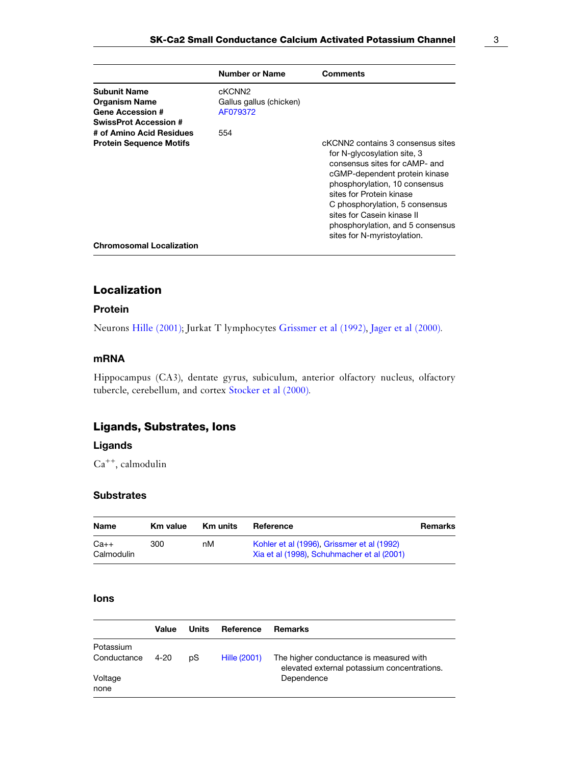|                                                                                                                                                                      | Number or Name                                                   | Comments                                                                                                                                                                                                                                                                                      |
|----------------------------------------------------------------------------------------------------------------------------------------------------------------------|------------------------------------------------------------------|-----------------------------------------------------------------------------------------------------------------------------------------------------------------------------------------------------------------------------------------------------------------------------------------------|
| <b>Subunit Name</b><br><b>Organism Name</b><br><b>Gene Accession #</b><br><b>SwissProt Accession #</b><br># of Amino Acid Residues<br><b>Protein Sequence Motifs</b> | cKCNN <sub>2</sub><br>Gallus gallus (chicken)<br>AF079372<br>554 | cKCNN2 contains 3 consensus sites                                                                                                                                                                                                                                                             |
|                                                                                                                                                                      |                                                                  | for N-glycosylation site, 3<br>consensus sites for cAMP- and<br>cGMP-dependent protein kinase<br>phosphorylation, 10 consensus<br>sites for Protein kinase<br>C phosphorylation, 5 consensus<br>sites for Casein kinase II<br>phosphorylation, and 5 consensus<br>sites for N-myristoylation. |
| <b>Chromosomal Localization</b>                                                                                                                                      |                                                                  |                                                                                                                                                                                                                                                                                               |

## Localization

#### Protein

Neurons [Hille \(2001\)](#page-6-0); Jurkat T lymphocytes [Grissmer et al \(1992\)](#page-5-0), [Jager et al \(2000\).](#page-5-0)

#### mRNA

Hippocampus (CA3), dentate gyrus, subiculum, anterior olfactory nucleus, olfactory tubercle, cerebellum, and cortex [Stocker et al \(2000\).](#page-6-0)

## Ligands, Substrates, Ions

## Ligands

 $Ca<sup>++</sup>$ , calmodulin

#### **Substrates**

| <b>Name</b>          | Km value | <b>Km</b> units | Reference                                                                                | Remarks |
|----------------------|----------|-----------------|------------------------------------------------------------------------------------------|---------|
| $Ca++$<br>Calmodulin | 300      | nМ              | Kohler et al (1996). Grissmer et al (1992)<br>Xia et al (1998). Schuhmacher et al (2001) |         |

#### Ions

|             | Value | Units | Reference    | <b>Remarks</b>                                                                         |
|-------------|-------|-------|--------------|----------------------------------------------------------------------------------------|
| Potassium   |       |       |              |                                                                                        |
| Conductance | 4-20  | pS    | Hille (2001) | The higher conductance is measured with<br>elevated external potassium concentrations. |
| Voltage     |       |       |              | Dependence                                                                             |
| none        |       |       |              |                                                                                        |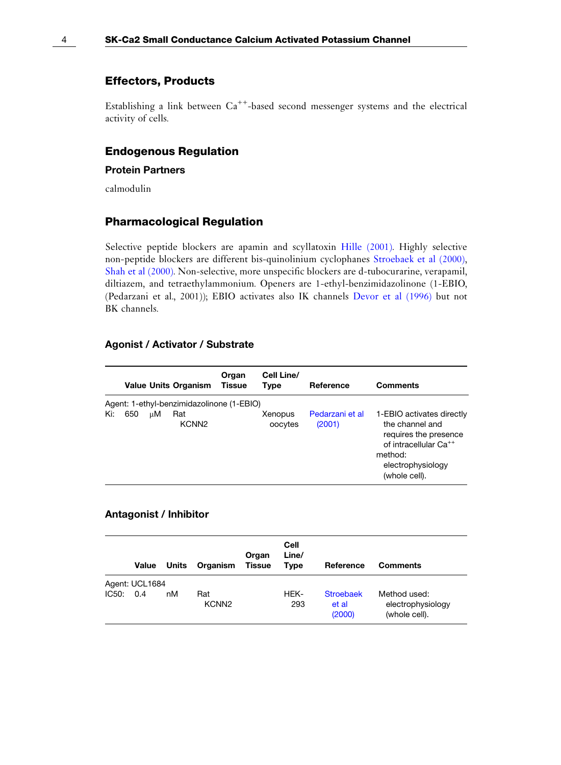#### Effectors, Products

Establishing a link between  $Ca^{++}$ -based second messenger systems and the electrical activity of cells.

## Endogenous Regulation

#### Protein Partners

calmodulin

#### Pharmacological Regulation

Selective peptide blockers are apamin and scyllatoxin [Hille \(2001\).](#page-6-0) Highly selective non-peptide blockers are different bis-quinolinium cyclophanes [Stroebaek et al \(2000\)](#page-6-0), [Shah et al \(2000\)](#page-6-0). Non-selective, more unspecific blockers are d-tubocurarine, verapamil, diltiazem, and tetraethylammonium. Openers are 1-ethyl-benzimidazolinone (1-EBIO, (Pedarzani et al., 2001)); EBIO activates also IK channels [Devor et al \(1996\)](#page-5-0) but not BK channels.

#### Agonist / Activator / Substrate

|     |     |    | <b>Value Units Organism</b>               | Organ<br>Tissue | Cell Line/<br>Type | Reference                 | <b>Comments</b>                                                                                                                                             |
|-----|-----|----|-------------------------------------------|-----------------|--------------------|---------------------------|-------------------------------------------------------------------------------------------------------------------------------------------------------------|
|     |     |    | Agent: 1-ethyl-benzimidazolinone (1-EBIO) |                 |                    |                           |                                                                                                                                                             |
| Ki: | 650 | цM | Rat<br>KCNN <sub>2</sub>                  |                 | Xenopus<br>oocytes | Pedarzani et al<br>(2001) | 1-EBIO activates directly<br>the channel and<br>requires the presence<br>of intracellular Ca <sup>++</sup><br>method:<br>electrophysiology<br>(whole cell). |

#### Antagonist / Inhibitor

|       | Value          | Units | Organism                 | Organ<br>Tissue | Cell<br>Line/<br><b>Type</b> | Reference                           | <b>Comments</b>                                    |
|-------|----------------|-------|--------------------------|-----------------|------------------------------|-------------------------------------|----------------------------------------------------|
|       | Agent: UCL1684 |       |                          |                 |                              |                                     |                                                    |
| IC50: | 0.4            | nM    | Rat<br>KCNN <sub>2</sub> |                 | HEK-<br>293                  | <b>Stroebaek</b><br>et al<br>(2000) | Method used:<br>electrophysiology<br>(whole cell). |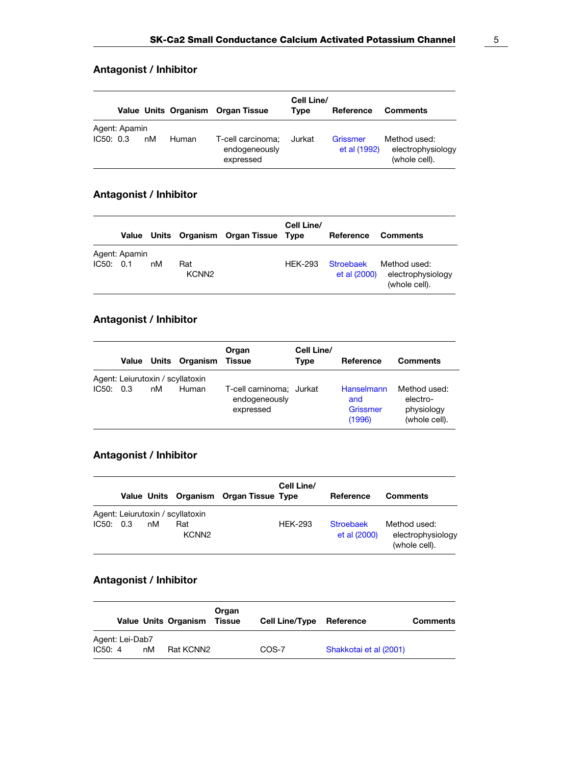# Antagonist / Inhibitor

|           |               |    |       | Value Units Organism Organ Tissue               | Cell Line/<br>Tvpe | Reference                | <b>Comments</b>                                    |
|-----------|---------------|----|-------|-------------------------------------------------|--------------------|--------------------------|----------------------------------------------------|
| IC50: 0.3 | Agent: Apamin | nM | Human | T-cell carcinoma;<br>endogeneously<br>expressed | Jurkat             | Grissmer<br>et al (1992) | Method used:<br>electrophysiology<br>(whole cell). |

# Antagonist / Inhibitor

|           |               |    |                          | Value Units Organism Organ Tissue Type | Cell Line/     | Reference                 | <b>Comments</b>                                    |
|-----------|---------------|----|--------------------------|----------------------------------------|----------------|---------------------------|----------------------------------------------------|
| IC50: 0.1 | Agent: Apamin | nM | Rat<br>KCNN <sub>2</sub> |                                        | <b>HEK-293</b> | Stroebaek<br>et al (2000) | Method used:<br>electrophysiology<br>(whole cell). |

# Antagonist / Inhibitor

|           |    | Value Units Organism Tissue      | Organ                                                  | Cell Line/<br>Type | Reference                               | <b>Comments</b>                                         |
|-----------|----|----------------------------------|--------------------------------------------------------|--------------------|-----------------------------------------|---------------------------------------------------------|
|           |    | Agent: Leiurutoxin / scyllatoxin |                                                        |                    |                                         |                                                         |
| IC50: 0.3 | nM | Human                            | T-cell carninoma; Jurkat<br>endogeneously<br>expressed |                    | Hanselmann<br>and<br>Grissmer<br>(1996) | Method used:<br>electro-<br>physiology<br>(whole cell). |

# Antagonist / Inhibitor

|           |    |                                  | Value Units Organism Organ Tissue Type | Cell Line/     | Reference                 | <b>Comments</b>                                    |
|-----------|----|----------------------------------|----------------------------------------|----------------|---------------------------|----------------------------------------------------|
|           |    | Agent: Leiurutoxin / scyllatoxin |                                        |                |                           |                                                    |
| IC50: 0.3 | nM | Rat<br>KCNN <sub>2</sub>         |                                        | <b>HFK-293</b> | Stroebaek<br>et al (2000) | Method used:<br>electrophysiology<br>(whole cell). |

## Antagonist / Inhibitor

|                            |    | <b>Value Units Organism</b> | Organ<br>Tissue | <b>Cell Line/Type</b> | Reference              | <b>Comments</b> |
|----------------------------|----|-----------------------------|-----------------|-----------------------|------------------------|-----------------|
| Agent: Lei-Dab7<br>IC50: 4 | nM | Rat KCNN2                   |                 | COS-7                 | Shakkotai et al (2001) |                 |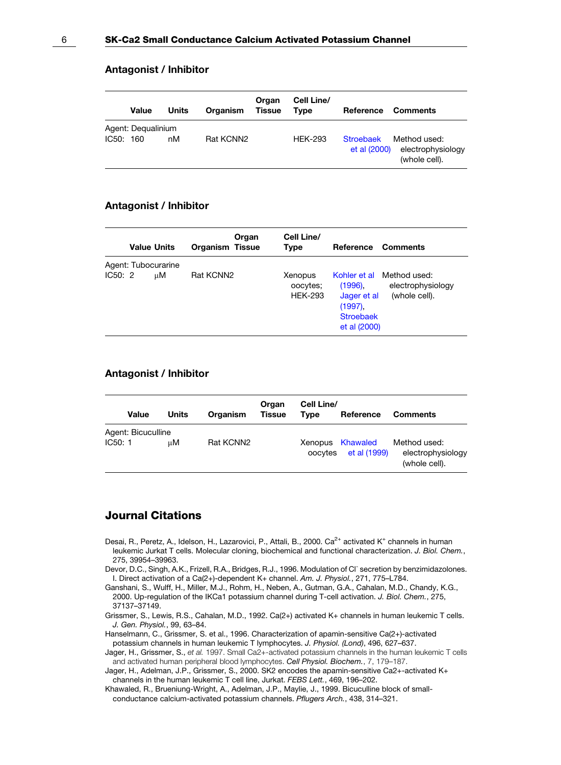#### <span id="page-5-0"></span>Antagonist / Inhibitor

|           | <b>Value</b>       | Units | Organism  | Organ<br><b>Tissue</b> | Cell Line/<br><b>Type</b> | Reference                        | <b>Comments</b>                                    |
|-----------|--------------------|-------|-----------|------------------------|---------------------------|----------------------------------|----------------------------------------------------|
| IC50: 160 | Agent: Dequalinium | nM    | Rat KCNN2 |                        | <b>HEK-293</b>            | <b>Stroebaek</b><br>et al (2000) | Method used:<br>electrophysiology<br>(whole cell). |

#### Antagonist / Inhibitor

| <b>Value Units</b> |  | Organ<br><b>Organism Tissue</b> |           | Cell Line/<br>Type | Reference Comments                    |                                                                             |                                                                 |
|--------------------|--|---------------------------------|-----------|--------------------|---------------------------------------|-----------------------------------------------------------------------------|-----------------------------------------------------------------|
| IC50:2             |  | Agent: Tubocurarine<br>uМ       | Rat KCNN2 |                    | Xenopus<br>oocytes;<br><b>HEK-293</b> | $(1996)$ .<br>Jager et al<br>$(1997)$ .<br><b>Stroebaek</b><br>et al (2000) | Kohler et al Method used:<br>electrophysiology<br>(whole cell). |

#### Antagonist / Inhibitor

| Value              | Units | Organism  | Organ<br><b>Tissue</b> | Cell Line/<br>Tvpe | Reference                        | <b>Comments</b>                                    |
|--------------------|-------|-----------|------------------------|--------------------|----------------------------------|----------------------------------------------------|
| Agent: Bicuculline |       |           |                        |                    |                                  |                                                    |
| IC50:1             | иM    | Rat KCNN2 |                        | oocytes            | Xenopus Khawaled<br>et al (1999) | Method used:<br>electrophysiology<br>(whole cell). |

# Journal Citations

- Desai, R., Peretz, A., Idelson, H., Lazarovici, P., Attali, B., 2000. Ca<sup>2+</sup> activated K<sup>+</sup> channels in human leukemic Jurkat T cells. Molecular cloning, biochemical and functional characterization. J. Biol. Chem., 275, 39954–39963.
- Devor, D.C., Singh, A.K., Frizell, R.A., Bridges, R.J., 1996. Modulation of Cl<sup>-</sup> secretion by benzimidazolones. I. Direct activation of a Ca(2+)-dependent K+ channel. Am. J. Physiol., 271, 775–L784.
- Ganshani, S., Wulff, H., Miller, M.J., Rohm, H., Neben, A., Gutman, G.A., Cahalan, M.D., Chandy, K.G., 2000. Up-regulation of the IKCa1 potassium channel during T-cell activation. J. Biol. Chem., 275, 37137–37149.
- Grissmer, S., Lewis, R.S., Cahalan, M.D., 1992. Ca(2+) activated K+ channels in human leukemic T cells. J. Gen. Physiol., 99, 63–84.
- Hanselmann, C., Grissmer, S. et al., 1996. Characterization of apamin-sensitive Ca(2+)-activated potassium channels in human leukemic T lymphocytes. J. Physiol. (Lond), 496, 627–637.
- Jager, H., Grissmer, S., et al. 1997. Small Ca2+-activated potassium channels in the human leukemic T cells and activated human peripheral blood lymphocytes. Cell Physiol. Biochem., 7, 179–187.
- Jager, H., Adelman, J.P., Grissmer, S., 2000. SK2 encodes the apamin-sensitive Ca2+-activated K+ channels in the human leukemic T cell line, Jurkat. FEBS Lett., 469, 196–202.

Khawaled, R., Brueniung-Wright, A., Adelman, J.P., Maylie, J., 1999. Bicuculline block of smallconductance calcium-activated potassium channels. Pflugers Arch., 438, 314–321.